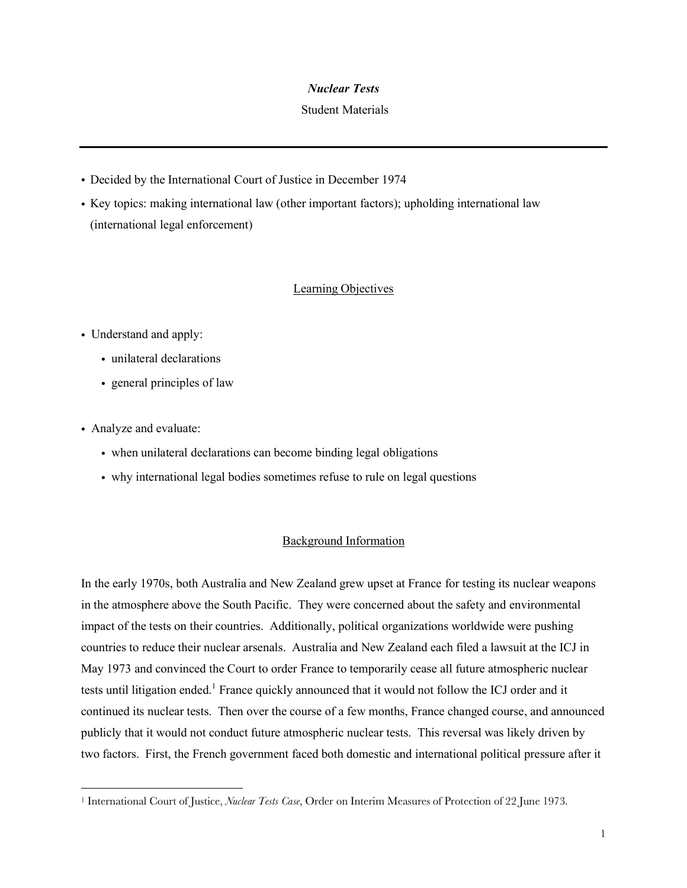## *Nuclear Tests*

### Student Materials

- ! Decided by the International Court of Justice in December 1974
- ! Key topics: making international law (other important factors); upholding international law (international legal enforcement)

# Learning Objectives

- Understand and apply:
	- unilateral declarations
	- general principles of law
- ! Analyze and evaluate:
	- ! when unilateral declarations can become binding legal obligations
	- ! why international legal bodies sometimes refuse to rule on legal questions

## Background Information

In the early 1970s, both Australia and New Zealand grew upset at France for testing its nuclear weapons in the atmosphere above the South Pacific. They were concerned about the safety and environmental impact of the tests on their countries. Additionally, political organizations worldwide were pushing countries to reduce their nuclear arsenals. Australia and New Zealand each filed a lawsuit at the ICJ in May 1973 and convinced the Court to order France to temporarily cease all future atmospheric nuclear tests until litigation ended.<sup>1</sup> France quickly announced that it would not follow the ICJ order and it continued its nuclear tests. Then over the course of a few months, France changed course, and announced publicly that it would not conduct future atmospheric nuclear tests. This reversal was likely driven by two factors. First, the French government faced both domestic and international political pressure after it

<sup>1</sup> International Court of Justice, *Nuclear Tests Case*, Order on Interim Measures of Protection of 22 June 1973.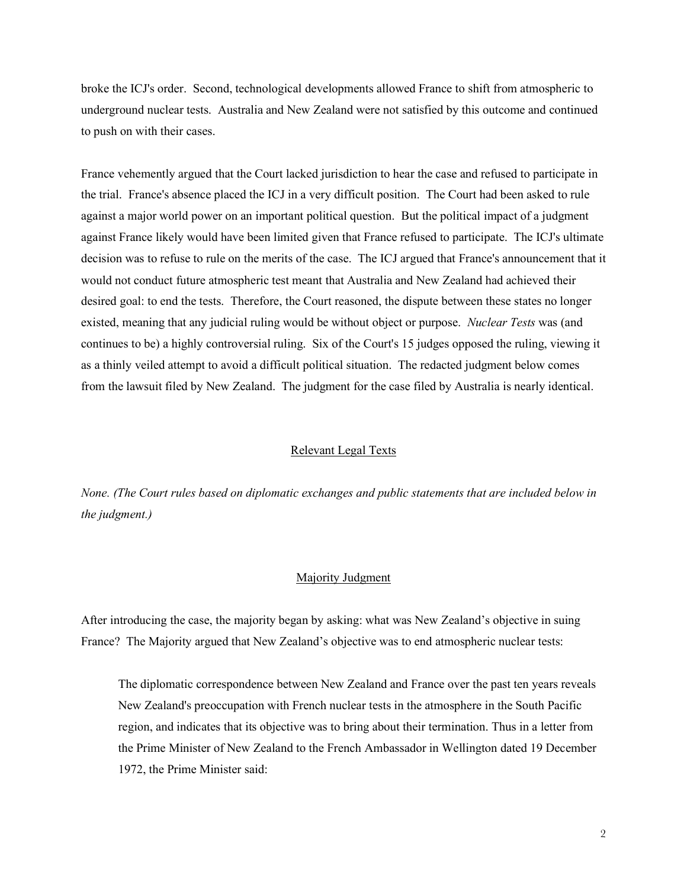broke the ICJ's order. Second, technological developments allowed France to shift from atmospheric to underground nuclear tests. Australia and New Zealand were not satisfied by this outcome and continued to push on with their cases.

France vehemently argued that the Court lacked jurisdiction to hear the case and refused to participate in the trial. France's absence placed the ICJ in a very difficult position. The Court had been asked to rule against a major world power on an important political question. But the political impact of a judgment against France likely would have been limited given that France refused to participate. The ICJ's ultimate decision was to refuse to rule on the merits of the case. The ICJ argued that France's announcement that it would not conduct future atmospheric test meant that Australia and New Zealand had achieved their desired goal: to end the tests. Therefore, the Court reasoned, the dispute between these states no longer existed, meaning that any judicial ruling would be without object or purpose. *Nuclear Tests* was (and continues to be) a highly controversial ruling. Six of the Court's 15 judges opposed the ruling, viewing it as a thinly veiled attempt to avoid a difficult political situation. The redacted judgment below comes from the lawsuit filed by New Zealand. The judgment for the case filed by Australia is nearly identical.

# Relevant Legal Texts

*None. (The Court rules based on diplomatic exchanges and public statements that are included below in the judgment.)*

#### Majority Judgment

After introducing the case, the majority began by asking: what was New Zealand's objective in suing France? The Majority argued that New Zealand's objective was to end atmospheric nuclear tests:

The diplomatic correspondence between New Zealand and France over the past ten years reveals New Zealand's preoccupation with French nuclear tests in the atmosphere in the South Pacific region, and indicates that its objective was to bring about their termination. Thus in a letter from the Prime Minister of New Zealand to the French Ambassador in Wellington dated 19 December 1972, the Prime Minister said: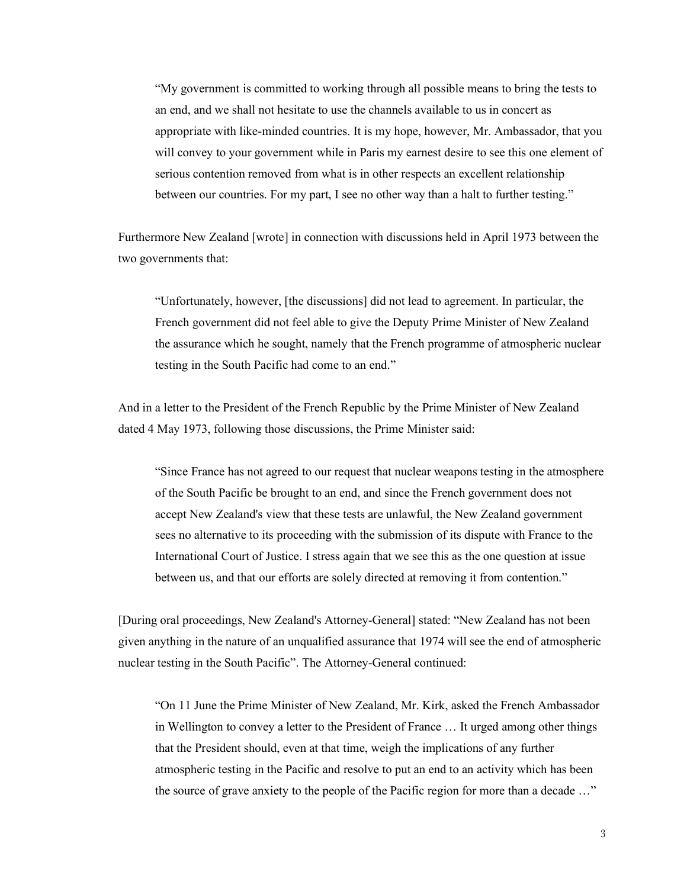"My government is committed to working through all possible means to bring the tests to an end, and we shall not hesitate to use the channels available to us in concert as appropriate with like-minded countries. It is my hope, however, Mr. Ambassador, that you will convey to your government while in Paris my earnest desire to see this one element of serious contention removed from what is in other respects an excellent relationship between our countries. For my part, I see no other way than a halt to further testing."

Furthermore New Zealand [wrote] in connection with discussions held in April 1973 between the two governments that:

"Unfortunately, however, [the discussions] did not lead to agreement. In particular, the French government did not feel able to give the Deputy Prime Minister of New Zealand the assurance which he sought, namely that the French programme of atmospheric nuclear testing in the South Pacific had come to an end."

And in a letter to the President of the French Republic by the Prime Minister of New Zealand dated 4 May 1973, following those discussions, the Prime Minister said:

"Since France has not agreed to our request that nuclear weapons testing in the atmosphere of the South Pacific be brought to an end, and since the French government does not accept New Zealand's view that these tests are unlawful, the New Zealand government sees no alternative to its proceeding with the submission of its dispute with France to the International Court of Justice. I stress again that we see this as the one question at issue between us, and that our efforts are solely directed at removing it from contention."

[During oral proceedings, New Zealand's Attorney-General] stated: "New Zealand has not been given anything in the nature of an unqualified assurance that 1974 will see the end of atmospheric nuclear testing in the South Pacific". The Attorney-General continued:

"On 11 June the Prime Minister of New Zealand, Mr. Kirk, asked the French Ambassador in Wellington to convey a letter to the President of France … It urged among other things that the President should, even at that time, weigh the implications of any further atmospheric testing in the Pacific and resolve to put an end to an activity which has been the source of grave anxiety to the people of the Pacific region for more than a decade …"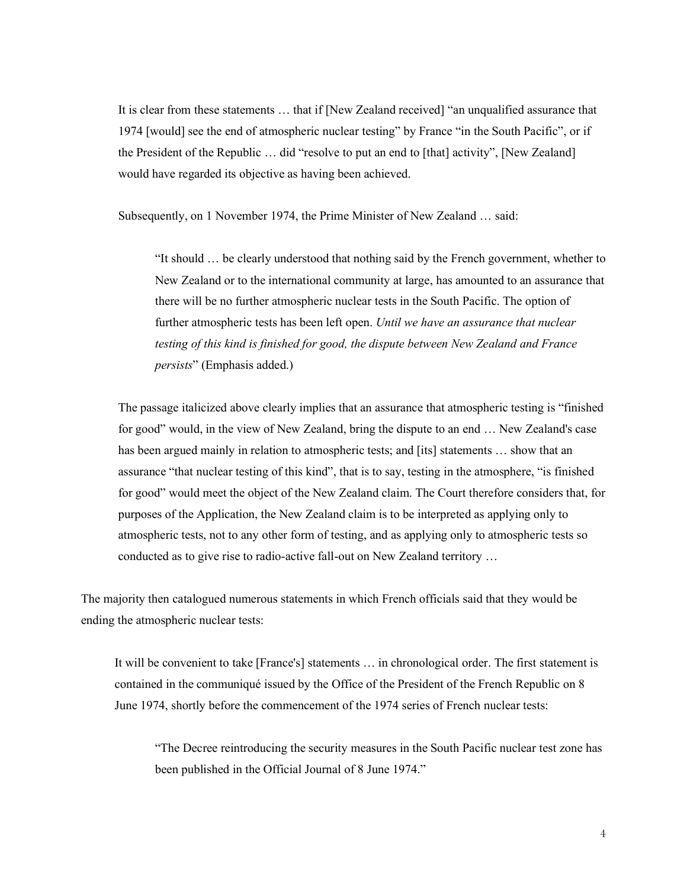It is clear from these statements … that if [New Zealand received] "an unqualified assurance that 1974 [would] see the end of atmospheric nuclear testing" by France "in the South Pacific", or if the President of the Republic … did "resolve to put an end to [that] activity", [New Zealand] would have regarded its objective as having been achieved.

Subsequently, on 1 November 1974, the Prime Minister of New Zealand … said:

"It should … be clearly understood that nothing said by the French government, whether to New Zealand or to the international community at large, has amounted to an assurance that there will be no further atmospheric nuclear tests in the South Pacific. The option of further atmospheric tests has been left open. *Until we have an assurance that nuclear testing of this kind is finished for good, the dispute between New Zealand and France persists*" (Emphasis added.)

The passage italicized above clearly implies that an assurance that atmospheric testing is "finished for good" would, in the view of New Zealand, bring the dispute to an end … New Zealand's case has been argued mainly in relation to atmospheric tests; and [its] statements ... show that an assurance "that nuclear testing of this kind", that is to say, testing in the atmosphere, "is finished for good" would meet the object of the New Zealand claim. The Court therefore considers that, for purposes of the Application, the New Zealand claim is to be interpreted as applying only to atmospheric tests, not to any other form of testing, and as applying only to atmospheric tests so conducted as to give rise to radio-active fall-out on New Zealand territory …

The majority then catalogued numerous statements in which French officials said that they would be ending the atmospheric nuclear tests:

It will be convenient to take [France's] statements … in chronological order. The first statement is contained in the communiqué issued by the Office of the President of the French Republic on 8 June 1974, shortly before the commencement of the 1974 series of French nuclear tests:

"The Decree reintroducing the security measures in the South Pacific nuclear test zone has been published in the Official Journal of 8 June 1974."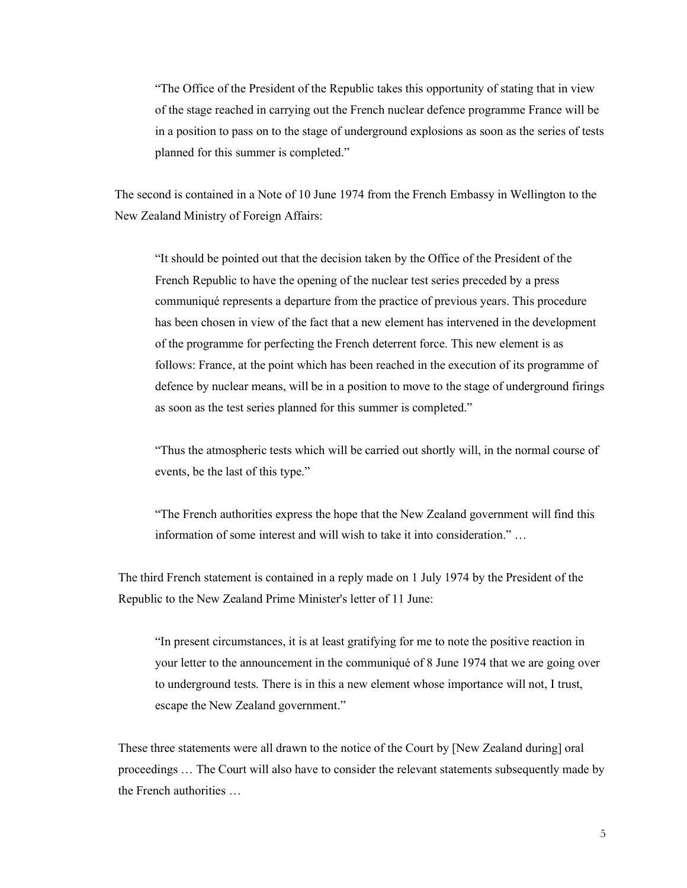"The Office of the President of the Republic takes this opportunity of stating that in view of the stage reached in carrying out the French nuclear defence programme France will be in a position to pass on to the stage of underground explosions as soon as the series of tests planned for this summer is completed."

The second is contained in a Note of 10 June 1974 from the French Embassy in Wellington to the New Zealand Ministry of Foreign Affairs:

"It should be pointed out that the decision taken by the Office of the President of the French Republic to have the opening of the nuclear test series preceded by a press communiqué represents a departure from the practice of previous years. This procedure has been chosen in view of the fact that a new element has intervened in the development of the programme for perfecting the French deterrent force. This new element is as follows: France, at the point which has been reached in the execution of its programme of defence by nuclear means, will be in a position to move to the stage of underground firings as soon as the test series planned for this summer is completed."

"Thus the atmospheric tests which will be carried out shortly will, in the normal course of events, be the last of this type."

"The French authorities express the hope that the New Zealand government will find this information of some interest and will wish to take it into consideration." …

The third French statement is contained in a reply made on 1 July 1974 by the President of the Republic to the New Zealand Prime Minister's letter of 11 June:

"In present circumstances, it is at least gratifying for me to note the positive reaction in your letter to the announcement in the communiqué of 8 June 1974 that we are going over to underground tests. There is in this a new element whose importance will not, I trust, escape the New Zealand government."

These three statements were all drawn to the notice of the Court by [New Zealand during] oral proceedings … The Court will also have to consider the relevant statements subsequently made by the French authorities …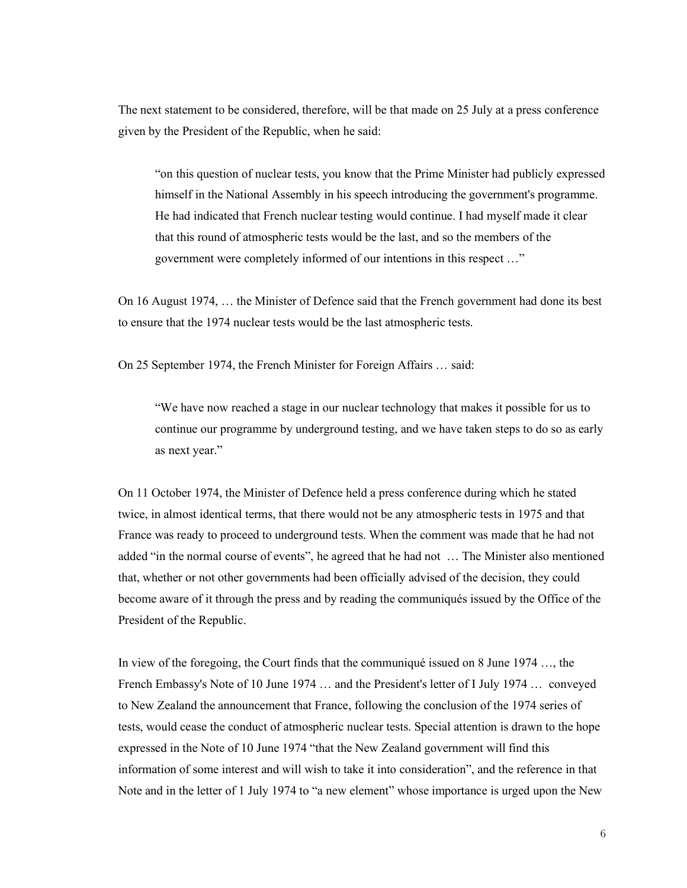The next statement to be considered, therefore, will be that made on 25 July at a press conference given by the President of the Republic, when he said:

"on this question of nuclear tests, you know that the Prime Minister had publicly expressed himself in the National Assembly in his speech introducing the government's programme. He had indicated that French nuclear testing would continue. I had myself made it clear that this round of atmospheric tests would be the last, and so the members of the government were completely informed of our intentions in this respect …"

On 16 August 1974, … the Minister of Defence said that the French government had done its best to ensure that the 1974 nuclear tests would be the last atmospheric tests.

On 25 September 1974, the French Minister for Foreign Affairs … said:

"We have now reached a stage in our nuclear technology that makes it possible for us to continue our programme by underground testing, and we have taken steps to do so as early as next year."

On 11 October 1974, the Minister of Defence held a press conference during which he stated twice, in almost identical terms, that there would not be any atmospheric tests in 1975 and that France was ready to proceed to underground tests. When the comment was made that he had not added "in the normal course of events", he agreed that he had not … The Minister also mentioned that, whether or not other governments had been officially advised of the decision, they could become aware of it through the press and by reading the communiqués issued by the Office of the President of the Republic.

In view of the foregoing, the Court finds that the communiqué issued on 8 June 1974 …, the French Embassy's Note of 10 June 1974 … and the President's letter of I July 1974 … conveyed to New Zealand the announcement that France, following the conclusion of the 1974 series of tests, would cease the conduct of atmospheric nuclear tests. Special attention is drawn to the hope expressed in the Note of 10 June 1974 "that the New Zealand government will find this information of some interest and will wish to take it into consideration", and the reference in that Note and in the letter of 1 July 1974 to "a new element" whose importance is urged upon the New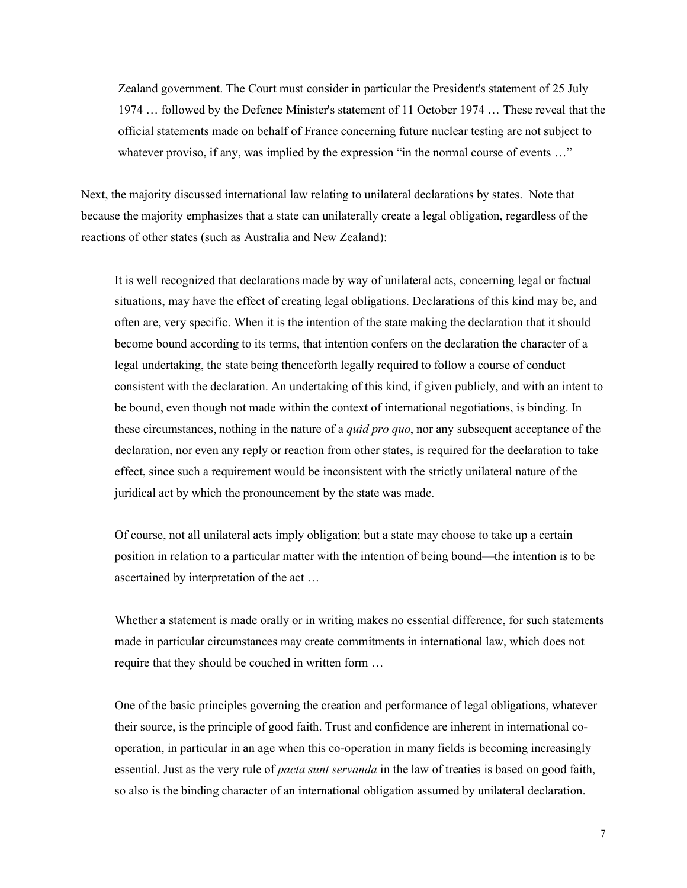Zealand government. The Court must consider in particular the President's statement of 25 July 1974 … followed by the Defence Minister's statement of 11 October 1974 … These reveal that the official statements made on behalf of France concerning future nuclear testing are not subject to whatever proviso, if any, was implied by the expression "in the normal course of events ..."

Next, the majority discussed international law relating to unilateral declarations by states. Note that because the majority emphasizes that a state can unilaterally create a legal obligation, regardless of the reactions of other states (such as Australia and New Zealand):

It is well recognized that declarations made by way of unilateral acts, concerning legal or factual situations, may have the effect of creating legal obligations. Declarations of this kind may be, and often are, very specific. When it is the intention of the state making the declaration that it should become bound according to its terms, that intention confers on the declaration the character of a legal undertaking, the state being thenceforth legally required to follow a course of conduct consistent with the declaration. An undertaking of this kind, if given publicly, and with an intent to be bound, even though not made within the context of international negotiations, is binding. In these circumstances, nothing in the nature of a *quid pro quo*, nor any subsequent acceptance of the declaration, nor even any reply or reaction from other states, is required for the declaration to take effect, since such a requirement would be inconsistent with the strictly unilateral nature of the juridical act by which the pronouncement by the state was made.

Of course, not all unilateral acts imply obligation; but a state may choose to take up a certain position in relation to a particular matter with the intention of being bound—the intention is to be ascertained by interpretation of the act …

Whether a statement is made orally or in writing makes no essential difference, for such statements made in particular circumstances may create commitments in international law, which does not require that they should be couched in written form …

One of the basic principles governing the creation and performance of legal obligations, whatever their source, is the principle of good faith. Trust and confidence are inherent in international cooperation, in particular in an age when this co-operation in many fields is becoming increasingly essential. Just as the very rule of *pacta sunt servanda* in the law of treaties is based on good faith, so also is the binding character of an international obligation assumed by unilateral declaration.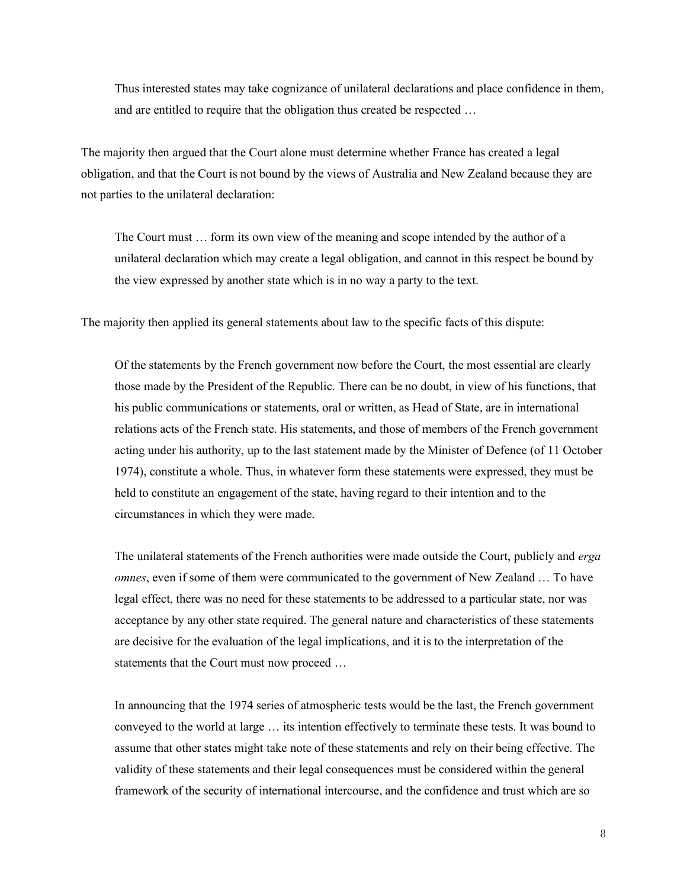Thus interested states may take cognizance of unilateral declarations and place confidence in them, and are entitled to require that the obligation thus created be respected …

The majority then argued that the Court alone must determine whether France has created a legal obligation, and that the Court is not bound by the views of Australia and New Zealand because they are not parties to the unilateral declaration:

The Court must … form its own view of the meaning and scope intended by the author of a unilateral declaration which may create a legal obligation, and cannot in this respect be bound by the view expressed by another state which is in no way a party to the text.

The majority then applied its general statements about law to the specific facts of this dispute:

Of the statements by the French government now before the Court, the most essential are clearly those made by the President of the Republic. There can be no doubt, in view of his functions, that his public communications or statements, oral or written, as Head of State, are in international relations acts of the French state. His statements, and those of members of the French government acting under his authority, up to the last statement made by the Minister of Defence (of 11 October 1974), constitute a whole. Thus, in whatever form these statements were expressed, they must be held to constitute an engagement of the state, having regard to their intention and to the circumstances in which they were made.

The unilateral statements of the French authorities were made outside the Court, publicly and *erga omnes*, even if some of them were communicated to the government of New Zealand … To have legal effect, there was no need for these statements to be addressed to a particular state, nor was acceptance by any other state required. The general nature and characteristics of these statements are decisive for the evaluation of the legal implications, and it is to the interpretation of the statements that the Court must now proceed …

In announcing that the 1974 series of atmospheric tests would be the last, the French government conveyed to the world at large … its intention effectively to terminate these tests. It was bound to assume that other states might take note of these statements and rely on their being effective. The validity of these statements and their legal consequences must be considered within the general framework of the security of international intercourse, and the confidence and trust which are so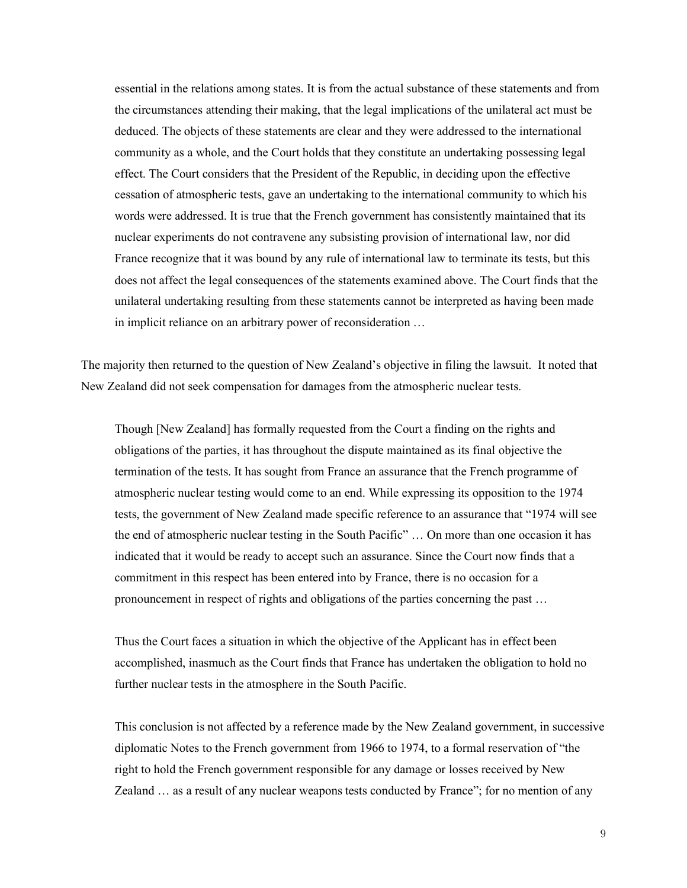essential in the relations among states. It is from the actual substance of these statements and from the circumstances attending their making, that the legal implications of the unilateral act must be deduced. The objects of these statements are clear and they were addressed to the international community as a whole, and the Court holds that they constitute an undertaking possessing legal effect. The Court considers that the President of the Republic, in deciding upon the effective cessation of atmospheric tests, gave an undertaking to the international community to which his words were addressed. It is true that the French government has consistently maintained that its nuclear experiments do not contravene any subsisting provision of international law, nor did France recognize that it was bound by any rule of international law to terminate its tests, but this does not affect the legal consequences of the statements examined above. The Court finds that the unilateral undertaking resulting from these statements cannot be interpreted as having been made in implicit reliance on an arbitrary power of reconsideration …

The majority then returned to the question of New Zealand's objective in filing the lawsuit. It noted that New Zealand did not seek compensation for damages from the atmospheric nuclear tests.

Though [New Zealand] has formally requested from the Court a finding on the rights and obligations of the parties, it has throughout the dispute maintained as its final objective the termination of the tests. It has sought from France an assurance that the French programme of atmospheric nuclear testing would come to an end. While expressing its opposition to the 1974 tests, the government of New Zealand made specific reference to an assurance that "1974 will see the end of atmospheric nuclear testing in the South Pacific" … On more than one occasion it has indicated that it would be ready to accept such an assurance. Since the Court now finds that a commitment in this respect has been entered into by France, there is no occasion for a pronouncement in respect of rights and obligations of the parties concerning the past …

Thus the Court faces a situation in which the objective of the Applicant has in effect been accomplished, inasmuch as the Court finds that France has undertaken the obligation to hold no further nuclear tests in the atmosphere in the South Pacific.

This conclusion is not affected by a reference made by the New Zealand government, in successive diplomatic Notes to the French government from 1966 to 1974, to a formal reservation of "the right to hold the French government responsible for any damage or losses received by New Zealand … as a result of any nuclear weapons tests conducted by France"; for no mention of any